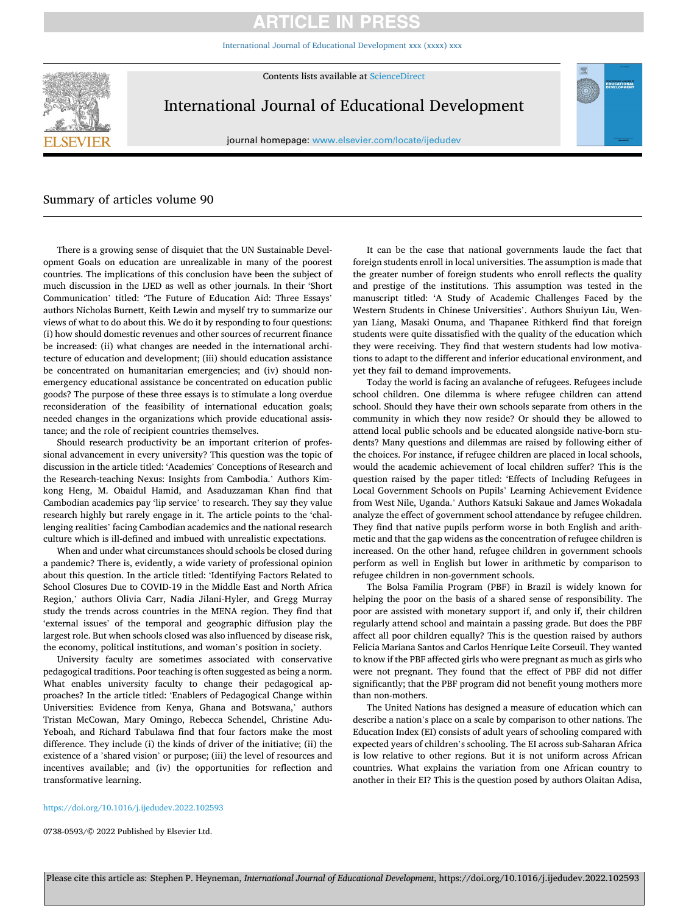# **ARTICLE IN PRESS**

[International Journal of Educational Development xxx \(xxxx\) xxx](https://doi.org/10.1016/j.ijedudev.2022.102593)



Contents lists available at [ScienceDirect](www.sciencedirect.com/science/journal/07380593)

International Journal of Educational Development

journal homepage: [www.elsevier.com/locate/ijedudev](https://www.elsevier.com/locate/ijedudev)

## Summary of articles volume 90

There is a growing sense of disquiet that the UN Sustainable Development Goals on education are unrealizable in many of the poorest countries. The implications of this conclusion have been the subject of much discussion in the IJED as well as other journals. In their 'Short Communication' titled: 'The Future of Education Aid: Three Essays' authors Nicholas Burnett, Keith Lewin and myself try to summarize our views of what to do about this. We do it by responding to four questions: (i) how should domestic revenues and other sources of recurrent finance be increased: (ii) what changes are needed in the international architecture of education and development; (iii) should education assistance be concentrated on humanitarian emergencies; and (iv) should nonemergency educational assistance be concentrated on education public goods? The purpose of these three essays is to stimulate a long overdue reconsideration of the feasibility of international education goals; needed changes in the organizations which provide educational assistance; and the role of recipient countries themselves.

Should research productivity be an important criterion of professional advancement in every university? This question was the topic of discussion in the article titled: 'Academics' Conceptions of Research and the Research-teaching Nexus: Insights from Cambodia.' Authors Kimkong Heng, M. Obaidul Hamid, and Asaduzzaman Khan find that Cambodian academics pay 'lip service' to research. They say they value research highly but rarely engage in it. The article points to the 'challenging realities' facing Cambodian academics and the national research culture which is ill-defined and imbued with unrealistic expectations.

When and under what circumstances should schools be closed during a pandemic? There is, evidently, a wide variety of professional opinion about this question. In the article titled: 'Identifying Factors Related to School Closures Due to COVID-19 in the Middle East and North Africa Region,' authors Olivia Carr, Nadia Jilani-Hyler, and Gregg Murray study the trends across countries in the MENA region. They find that 'external issues' of the temporal and geographic diffusion play the largest role. But when schools closed was also influenced by disease risk, the economy, political institutions, and woman's position in society.

University faculty are sometimes associated with conservative pedagogical traditions. Poor teaching is often suggested as being a norm. What enables university faculty to change their pedagogical approaches? In the article titled: 'Enablers of Pedagogical Change within Universities: Evidence from Kenya, Ghana and Botswana,' authors Tristan McCowan, Mary Omingo, Rebecca Schendel, Christine Adu-Yeboah, and Richard Tabulawa find that four factors make the most difference. They include (i) the kinds of driver of the initiative; (ii) the existence of a 'shared vision' or purpose; (iii) the level of resources and incentives available; and (iv) the opportunities for reflection and transformative learning.

It can be the case that national governments laude the fact that foreign students enroll in local universities. The assumption is made that the greater number of foreign students who enroll reflects the quality and prestige of the institutions. This assumption was tested in the manuscript titled: 'A Study of Academic Challenges Faced by the Western Students in Chinese Universities'. Authors Shuiyun Liu, Wenyan Liang, Masaki Onuma, and Thapanee Rithkerd find that foreign students were quite dissatisfied with the quality of the education which they were receiving. They find that western students had low motivations to adapt to the different and inferior educational environment, and yet they fail to demand improvements.

Today the world is facing an avalanche of refugees. Refugees include school children. One dilemma is where refugee children can attend school. Should they have their own schools separate from others in the community in which they now reside? Or should they be allowed to attend local public schools and be educated alongside native-born students? Many questions and dilemmas are raised by following either of the choices. For instance, if refugee children are placed in local schools, would the academic achievement of local children suffer? This is the question raised by the paper titled: 'Effects of Including Refugees in Local Government Schools on Pupils' Learning Achievement Evidence from West Nile, Uganda.' Authors Katsuki Sakaue and James Wokadala analyze the effect of government school attendance by refugee children. They find that native pupils perform worse in both English and arithmetic and that the gap widens as the concentration of refugee children is increased. On the other hand, refugee children in government schools perform as well in English but lower in arithmetic by comparison to refugee children in non-government schools.

The Bolsa Familia Program (PBF) in Brazil is widely known for helping the poor on the basis of a shared sense of responsibility. The poor are assisted with monetary support if, and only if, their children regularly attend school and maintain a passing grade. But does the PBF affect all poor children equally? This is the question raised by authors Felicia Mariana Santos and Carlos Henrique Leite Corseuil. They wanted to know if the PBF affected girls who were pregnant as much as girls who were not pregnant. They found that the effect of PBF did not differ significantly; that the PBF program did not benefit young mothers more than non-mothers.

The United Nations has designed a measure of education which can describe a nation's place on a scale by comparison to other nations. The Education Index (EI) consists of adult years of schooling compared with expected years of children's schooling. The EI across sub-Saharan Africa is low relative to other regions. But it is not uniform across African countries. What explains the variation from one African country to another in their EI? This is the question posed by authors Olaitan Adisa,

#### <https://doi.org/10.1016/j.ijedudev.2022.102593>

0738-0593/© 2022 Published by Elsevier Ltd.